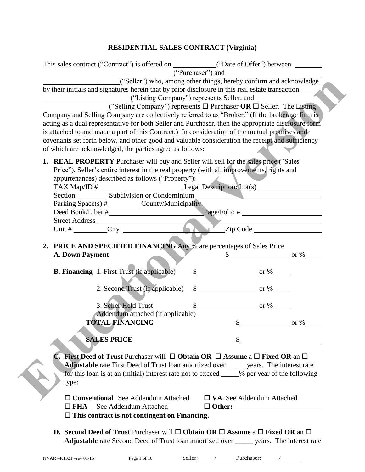# **RESIDENTIAL SALES CONTRACT (Virginia)**

| This sales contract ("Contract") is offered on ____________("Date of Offer") between _______________<br>("Purchaser") and<br>("Seller") who, among other things, hereby confirm and acknowledge                                                                                                                                                                                                                                                                                                                                                          |
|----------------------------------------------------------------------------------------------------------------------------------------------------------------------------------------------------------------------------------------------------------------------------------------------------------------------------------------------------------------------------------------------------------------------------------------------------------------------------------------------------------------------------------------------------------|
| by their initials and signatures herein that by prior disclosure in this real estate transaction                                                                                                                                                                                                                                                                                                                                                                                                                                                         |
| ("Selling Company") represents $\Box$ Purchaser OR $\Box$ Seller. The Listing<br>Company and Selling Company are collectively referred to as "Broker." (If the brokerage firm is<br>acting as a dual representative for both Seller and Purchaser, then the appropriate disclosure form<br>is attached to and made a part of this Contract.) In consideration of the mutual promises and<br>covenants set forth below, and other good and valuable consideration the receipt and sufficiency<br>of which are acknowledged, the parties agree as follows: |
| <b>1. REAL PROPERTY</b> Purchaser will buy and Seller will sell for the sales price ("Sales"<br>Price"), Seller's entire interest in the real property (with all improvements, rights and<br>appurtenances) described as follows ("Property"):<br>Parking Space(s) # _________ County/Municipality _______________________________                                                                                                                                                                                                                       |
|                                                                                                                                                                                                                                                                                                                                                                                                                                                                                                                                                          |
|                                                                                                                                                                                                                                                                                                                                                                                                                                                                                                                                                          |
| 2. PRICE AND SPECIFIED FINANCING Any % are percentages of Sales Price<br>A. Down Payment<br>$\frac{\text{S}}{\text{S}}$ or %                                                                                                                                                                                                                                                                                                                                                                                                                             |
| $\frac{\text{S}}{\text{S}}$ or %<br><b>B. Financing</b> 1. First Trust (if applicable)                                                                                                                                                                                                                                                                                                                                                                                                                                                                   |
| $\frac{\text{S}}{\text{S}}$ or %<br>2. Second Trust (if applicable)<br>3. Seller Held Trust<br>$\frac{\text{S}}{\text{S}}$ or %                                                                                                                                                                                                                                                                                                                                                                                                                          |
| Addendum attached (if applicable)<br><b>TOTAL FINANCING</b><br>\$<br>$\sim$ or %                                                                                                                                                                                                                                                                                                                                                                                                                                                                         |
| <b>SALES PRICE</b>                                                                                                                                                                                                                                                                                                                                                                                                                                                                                                                                       |
| <b>C.</b> First Deed of Trust Purchaser will $\Box$ Obtain OR $\Box$ Assume a $\Box$ Fixed OR an $\Box$<br><b>Adjustable</b> rate First Deed of Trust loan amortized over ______ years. The interest rate<br>for this loan is at an (initial) interest rate not to exceed _____% per year of the following<br>type:                                                                                                                                                                                                                                      |
| $\Box$ Conventional See Addendum Attached<br>$\Box$ VA See Addendum Attached<br>See Addendum Attached<br>$\Box$ FHA<br>$\Box$ Other:<br>$\Box$ This contract is not contingent on Financing.                                                                                                                                                                                                                                                                                                                                                             |
| <b>D.</b> Second Deed of Trust Purchaser will $\square$ Obtain OR $\square$ Assume a $\square$ Fixed OR an $\square$<br><b>Adjustable</b> rate Second Deed of Trust loan amortized over <u>equal</u> years. The interest rate                                                                                                                                                                                                                                                                                                                            |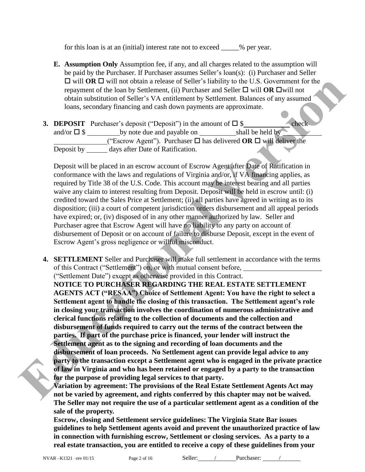for this loan is at an (initial) interest rate not to exceed \_\_\_\_\_% per year.

- **E. Assumption Only** Assumption fee, if any, and all charges related to the assumption will be paid by the Purchaser. If Purchaser assumes Seller's loan(s): (i) Purchaser and Seller  $\Box$  will **OR**  $\Box$  will not obtain a release of Seller's liability to the U.S. Government for the repayment of the loan by Settlement, (ii) Purchaser and Seller  $\Box$  will **OR**  $\Box$  will not obtain substitution of Seller's VA entitlement by Settlement. Balances of any assumed loans, secondary financing and cash down payments are approximate.
- **3. DEPOSIT** Purchaser's deposit ("Deposit") in the amount of  $\Box$  \$ check and/or  $\square$  \$ shall be held by note due and payable on shall be held by ("Escrow Agent"). Purchaser  $\Box$  has delivered **OR**  $\Box$  will deliver the Deposit by days after Date of Ratification.

Deposit will be placed in an escrow account of Escrow Agent after Date of Ratification in conformance with the laws and regulations of Virginia and/or, if VA financing applies, as required by Title 38 of the U.S. Code. This account may be interest bearing and all parties waive any claim to interest resulting from Deposit. Deposit will be held in escrow until: (i) credited toward the Sales Price at Settlement; (ii) all parties have agreed in writing as to its disposition; (iii) a court of competent jurisdiction orders disbursement and all appeal periods have expired; or, (iv) disposed of in any other manner authorized by law. Seller and Purchaser agree that Escrow Agent will have no liability to any party on account of disbursement of Deposit or on account of failure to disburse Deposit, except in the event of Escrow Agent's gross negligence or willful misconduct.

**4. SETTLEMENT** Seller and Purchaser will make full settlement in accordance with the terms of this Contract ("Settlement") on, or with mutual consent before,

("Settlement Date") except as otherwise provided in this Contract.

**NOTICE TO PURCHASER REGARDING THE REAL ESTATE SETTLEMENT AGENTS ACT ("RESAA") Choice of Settlement Agent: You have the right to select a Settlement agent to handle the closing of this transaction. The Settlement agent's role in closing your transaction involves the coordination of numerous administrative and clerical functions relating to the collection of documents and the collection and disbursement of funds required to carry out the terms of the contract between the parties. If part of the purchase price is financed, your lender will instruct the Settlement agent as to the signing and recording of loan documents and the disbursement of loan proceeds. No Settlement agent can provide legal advice to any party to the transaction except a Settlement agent who is engaged in the private practice of law in Virginia and who has been retained or engaged by a party to the transaction for the purpose of providing legal services to that party. Et with OR Use Totalita no cheating anchease of Seller's liability to the US. Government for the analysis transformation of Seller's Secondary financies of any system that the positive of a secondary financies and cash o** 

**Variation by agreement: The provisions of the Real Estate Settlement Agents Act may not be varied by agreement, and rights conferred by this chapter may not be waived. The Seller may not require the use of a particular settlement agent as a condition of the sale of the property.** 

**Escrow, closing and Settlement service guidelines: The Virginia State Bar issues guidelines to help Settlement agents avoid and prevent the unauthorized practice of law in connection with furnishing escrow, Settlement or closing services. As a party to a real estate transaction, you are entitled to receive a copy of these guidelines from your**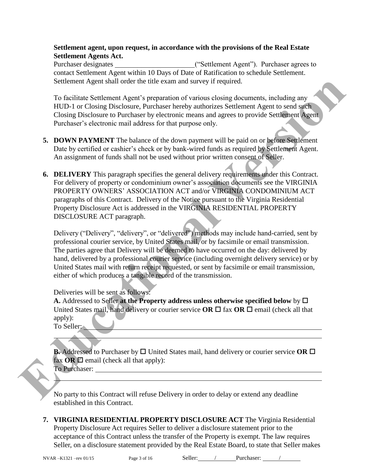### **Settlement agent, upon request, in accordance with the provisions of the Real Estate Settlement Agents Act.**

Purchaser designates ("Settlement Agent"). Purchaser agrees to contact Settlement Agent within 10 Days of Date of Ratification to schedule Settlement. Settlement Agent shall order the title exam and survey if required.

To facilitate Settlement Agent's preparation of various closing documents, including any HUD-1 or Closing Disclosure, Purchaser hereby authorizes Settlement Agent to send such Closing Disclosure to Purchaser by electronic means and agrees to provide Settlement Agent Purchaser's electronic mail address for that purpose only.

- **5. DOWN PAYMENT** The balance of the down payment will be paid on or before Settlement Date by certified or cashier's check or by bank-wired funds as required by Settlement Agent. An assignment of funds shall not be used without prior written consent of Seller.
- **6. DELIVERY** This paragraph specifies the general delivery requirements under this Contract. For delivery of property or condominium owner's association documents see the VIRGINIA PROPERTY OWNERS' ASSOCIATION ACT and/or VIRGINIA CONDOMINIUM ACT paragraphs of this Contract. Delivery of the Notice pursuant to the Virginia Residential Property Disclosure Act is addressed in the VIRGINIA RESIDENTIAL PROPERTY DISCLOSURE ACT paragraph. Scattement Agent shall order the title exam and survey if required.<br> **ITO-1** or Closing Bisclosure, Purchase Teately authorizes Settlement Agent to send such<br>
Clinical Settlement Agent increase the person of various closin

Delivery ("Delivery", "delivery", or "delivered") methods may include hand-carried, sent by professional courier service, by United States mail, or by facsimile or email transmission. The parties agree that Delivery will be deemed to have occurred on the day: delivered by hand, delivered by a professional courier service (including overnight delivery service) or by United States mail with return receipt requested, or sent by facsimile or email transmission, either of which produces a tangible record of the transmission.

Deliveries will be sent as follows:

**A.** Addressed to Seller at the Property address unless otherwise specified below by  $\Box$ United States mail, hand delivery or courier service  $OR \square$  fax  $OR \square$  email (check all that apply):

To Seller:

**B.** Addressed to Purchaser by  $\Box$  United States mail, hand delivery or courier service OR  $\Box$ fax  $OR \square$  email (check all that apply):

To Purchaser:

No party to this Contract will refuse Delivery in order to delay or extend any deadline established in this Contract.

**7. VIRGINIA RESIDENTIAL PROPERTY DISCLOSURE ACT** The Virginia Residential Property Disclosure Act requires Seller to deliver a disclosure statement prior to the acceptance of this Contract unless the transfer of the Property is exempt. The law requires Seller, on a disclosure statement provided by the Real Estate Board, to state that Seller makes

l

 $\overline{a}$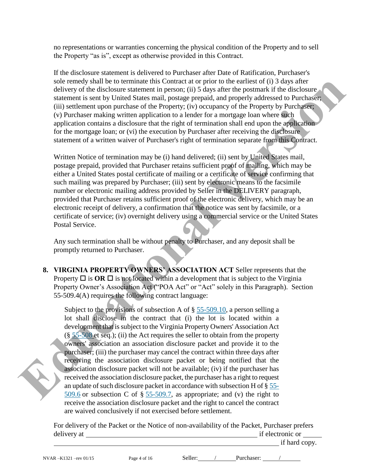no representations or warranties concerning the physical condition of the Property and to sell the Property "as is", except as otherwise provided in this Contract.

If the disclosure statement is delivered to Purchaser after Date of Ratification, Purchaser's sole remedy shall be to terminate this Contract at or prior to the earliest of (i) 3 days after delivery of the disclosure statement in person; (ii) 5 days after the postmark if the disclosure statement is sent by United States mail, postage prepaid, and properly addressed to Purchaser; (iii) settlement upon purchase of the Property; (iv) occupancy of the Property by Purchaser; (v) Purchaser making written application to a lender for a mortgage loan where such application contains a disclosure that the right of termination shall end upon the application for the mortgage loan; or (vi) the execution by Purchaser after receiving the disclosure statement of a written waiver of Purchaser's right of termination separate from this Contract.

Written Notice of termination may be (i) hand delivered; (ii) sent by United States mail, postage prepaid, provided that Purchaser retains sufficient proof of mailing, which may be either a United States postal certificate of mailing or a certificate of service confirming that such mailing was prepared by Purchaser; (iii) sent by electronic means to the facsimile number or electronic mailing address provided by Seller in the DELIVERY paragraph, provided that Purchaser retains sufficient proof of the electronic delivery, which may be an electronic receipt of delivery, a confirmation that the notice was sent by facsimile, or a certificate of service; (iv) overnight delivery using a commercial service or the United States Postal Service.

Any such termination shall be without penalty to Purchaser, and any deposit shall be promptly returned to Purchaser.

**8. VIRGINIA PROPERTY OWNERS' ASSOCIATION ACT** Seller represents that the Property  $\Box$  is  $\Box$  **OR**  $\Box$  is not located within a development that is subject to the Virginia Property Owner's Association Act ("POA Act" or "Act" solely in this Paragraph). Section 55-509.4(A) requires the following contract language:

Subject to the provisions of subsection A of § 55-509.10, a person selling a lot shall disclose in the contract that (i) the lot is located within a development that is subject to the Virginia Property Owners' Association Act  $(\S 55-508$  et seq.); (ii) the Act requires the seller to obtain from the property owners' association an association disclosure packet and provide it to the purchaser; (iii) the purchaser may cancel the contract within three days after receiving the association disclosure packet or being notified that the association disclosure packet will not be available; (iv) if the purchaser has received the association disclosure packet, the purchaser has a right to request an update of such disclosure packet in accordance with subsection H of § 55- 509.6 or subsection C of  $\S$  55-509.7, as appropriate; and (v) the right to receive the association disclosure packet and the right to cancel the contract are waived conclusively if not exercised before settlement. solic erremotion sainter to commute this Commute and to prior the carriers of (i) 3 days after the postmatk in the commute statement is senting that the most property and property and property and property and property and

> For delivery of the Packet or the Notice of non-availability of the Packet, Purchaser prefers delivery at if electronic or if hard copy.

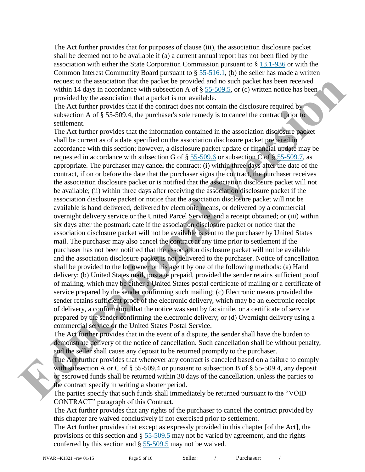The Act further provides that for purposes of clause (iii), the association disclosure packet shall be deemed not to be available if (a) a current annual report has not been filed by the association with either the State Corporation Commission pursuant to § [13.1-936](http://leg1.state.va.us/cgi-bin/legp504.exe?000+cod+13.1-936) or with the Common Interest Community Board pursuant to § [55-516.1,](http://leg1.state.va.us/cgi-bin/legp504.exe?000+cod+55-516.1) (b) the seller has made a written request to the association that the packet be provided and no such packet has been received within 14 days in accordance with subsection A of  $\S$  55-509.5, or (c) written notice has been provided by the association that a packet is not available.

The Act further provides that if the contract does not contain the disclosure required by subsection A of § 55-509.4, the purchaser's sole remedy is to cancel the contract prior to settlement.

The Act further provides that the information contained in the association disclosure packet shall be current as of a date specified on the association disclosure packet prepared in accordance with this section; however, a disclosure packet update or financial update may be requested in accordance with subsection G of  $\S 55-509.6$  or subsection C of  $\S 55-509.7$ , as appropriate. The purchaser may cancel the contract: (i) within three days after the date of the contract, if on or before the date that the purchaser signs the contract, the purchaser receives the association disclosure packet or is notified that the association disclosure packet will not be available; (ii) within three days after receiving the association disclosure packet if the association disclosure packet or notice that the association disclosure packet will not be available is hand delivered, delivered by electronic means, or delivered by a commercial overnight delivery service or the United Parcel Service, and a receipt obtained; or (iii) within six days after the postmark date if the association disclosure packet or notice that the association disclosure packet will not be available is sent to the purchaser by United States mail. The purchaser may also cancel the contract at any time prior to settlement if the purchaser has not been notified that the association disclosure packet will not be available and the association disclosure packet is not delivered to the purchaser. Notice of cancellation shall be provided to the lot owner or his agent by one of the following methods: (a) Hand delivery; (b) United States mail, postage prepaid, provided the sender retains sufficient proof of mailing, which may be either a United States postal certificate of mailing or a certificate of service prepared by the sender confirming such mailing; (c) Electronic means provided the sender retains sufficient proof of the electronic delivery, which may be an electronic receipt of delivery, a confirmation that the notice was sent by facsimile, or a certificate of service prepared by the sender confirming the electronic delivery; or (d) Overnight delivery using a commercial service or the United States Postal Service. request to the association that the packet be privided and not such packet has been received the packet of the solution of the solution of the solution of the solution of the solution of the solution of the solution of the

The Act further provides that in the event of a dispute, the sender shall have the burden to demonstrate delivery of the notice of cancellation. Such cancellation shall be without penalty, and the seller shall cause any deposit to be returned promptly to the purchaser.

The Act further provides that whenever any contract is canceled based on a failure to comply with subsection A or C of § 55-509.4 or pursuant to subsection B of § 55-509.4, any deposit or escrowed funds shall be returned within 30 days of the cancellation, unless the parties to the contract specify in writing a shorter period.

The parties specify that such funds shall immediately be returned pursuant to the "VOID CONTRACT" paragraph of this Contract.

The Act further provides that any rights of the purchaser to cancel the contract provided by this chapter are waived conclusively if not exercised prior to settlement.

The Act further provides that except as expressly provided in this chapter [of the Act], the provisions of this section and § [55-509.5](http://leg1.state.va.us/cgi-bin/legp504.exe?000+cod+55-509.5) may not be varied by agreement, and the rights conferred by this section and § [55-509.5](http://leg1.state.va.us/cgi-bin/legp504.exe?000+cod+55-509.5) may not be waived.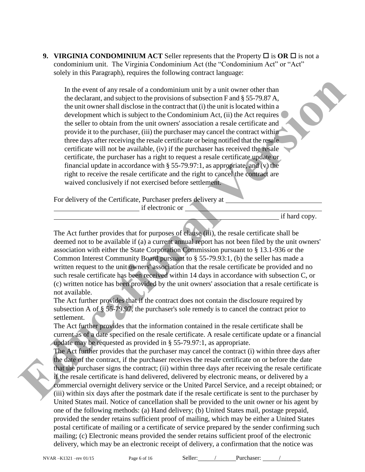**9. VIRGINIA CONDOMINIUM ACT** Seller represents that the Property  $\Box$  is  $\overline{OR} \Box$  is not a condominium unit. The Virginia Condominium Act (the "Condominium Act" or "Act" solely in this Paragraph), requires the following contract language:

In the event of any resale of a condominium unit by a unit owner other than the declarant, and subject to the provisions of subsection F and § 55-79.87 A, the unit owner shall disclose in the contract that (i) the unit is located within a development which is subject to the Condominium Act, (ii) the Act requires the seller to obtain from the unit owners' association a resale certificate and provide it to the purchaser, (iii) the purchaser may cancel the contract within three days after receiving the resale certificate or being notified that the resale certificate will not be available, (iv) if the purchaser has received the resale certificate, the purchaser has a right to request a resale certificate update or financial update in accordance with  $\S 55-79.97:1$ , as appropriate, and (v) the right to receive the resale certificate and the right to cancel the contract are waived conclusively if not exercised before settlement. In the event of any resale of a condominism unit by a unit owner other than<br>the decharant, and subject to the provisions of subsection F and § 55-79.87.<br>the sumit coverage that the intervention of the contract that (i) the

For delivery of the Certificate, Purchaser prefers delivery at

if electronic or

if hard copy.

The Act further provides that for purposes of clause (iii), the resale certificate shall be deemed not to be available if (a) a current annual report has not been filed by the unit owners' association with either the State Corporation Commission pursuant to § 13.1-936 or the Common Interest Community Board pursuant to § 55-79.93:1, (b) the seller has made a written request to the unit owners' association that the resale certificate be provided and no such resale certificate has been received within 14 days in accordance with subsection C, or (c) written notice has been provided by the unit owners' association that a resale certificate is not available.

The Act further provides that if the contract does not contain the disclosure required by subsection A of § 55-79.97, the purchaser's sole remedy is to cancel the contract prior to settlement.

The Act further provides that the information contained in the resale certificate shall be current as of a date specified on the resale certificate. A resale certificate update or a financial update may be requested as provided in § 55-79.97:1, as appropriate.

The Act further provides that the purchaser may cancel the contract (i) within three days after the date of the contract, if the purchaser receives the resale certificate on or before the date that the purchaser signs the contract; (ii) within three days after receiving the resale certificate if the resale certificate is hand delivered, delivered by electronic means, or delivered by a commercial overnight delivery service or the United Parcel Service, and a receipt obtained; or (iii) within six days after the postmark date if the resale certificate is sent to the purchaser by United States mail. Notice of cancellation shall be provided to the unit owner or his agent by one of the following methods: (a) Hand delivery; (b) United States mail, postage prepaid, provided the sender retains sufficient proof of mailing, which may be either a United States postal certificate of mailing or a certificate of service prepared by the sender confirming such mailing; (c) Electronic means provided the sender retains sufficient proof of the electronic delivery, which may be an electronic receipt of delivery, a confirmation that the notice was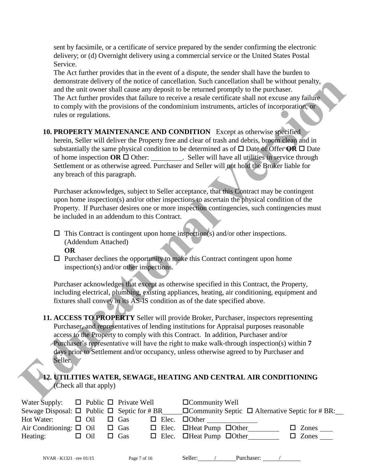sent by facsimile, or a certificate of service prepared by the sender confirming the electronic delivery; or (d) Overnight delivery using a commercial service or the United States Postal Service.

The Act further provides that in the event of a dispute, the sender shall have the burden to demonstrate delivery of the notice of cancellation. Such cancellation shall be without penalty, and the unit owner shall cause any deposit to be returned promptly to the purchaser. The Act further provides that failure to receive a resale certificate shall not excuse any failure to comply with the provisions of the condominium instruments, articles of incorporation, or rules or regulations.

**10. PROPERTY MAINTENANCE AND CONDITION** Except as otherwise specified herein, Seller will deliver the Property free and clear of trash and debris, broom clean and in substantially the same physical condition to be determined as of  $\Box$  Date of Offer **OR**  $\Box$  Date of home inspection  $OR \square$  Other: . Seller will have all utilities in service through Settlement or as otherwise agreed. Purchaser and Seller will not hold the Broker liable for any breach of this paragraph. demonstrate delivery of the notice of cancellation, Such annealizing shall be without penalty.<br>
The Arct further provides that failure to receive a reade entificate is hall to extend the product of the comply with the prov

Purchaser acknowledges, subject to Seller acceptance, that this Contract may be contingent upon home inspection(s) and/or other inspections to ascertain the physical condition of the Property. If Purchaser desires one or more inspection contingencies, such contingencies must be included in an addendum to this Contract.

 $\Box$  This Contract is contingent upon home inspection(s) and/or other inspections. (Addendum Attached)

- **OR**
- $\Box$  Purchaser declines the opportunity to make this Contract contingent upon home inspection(s) and/or other inspections.

Purchaser acknowledges that except as otherwise specified in this Contract, the Property, including electrical, plumbing, existing appliances, heating, air conditioning, equipment and fixtures shall convey in its AS-IS condition as of the date specified above.

- **11. ACCESS TO PROPERTY** Seller will provide Broker, Purchaser, inspectors representing Purchaser, and representatives of lending institutions for Appraisal purposes reasonable access to the Property to comply with this Contract. In addition, Purchaser and/or Purchaser's representative will have the right to make walk-through inspection(s) within **7**  days prior to Settlement and/or occupancy, unless otherwise agreed to by Purchaser and Seller.
- **12. UTILITIES WATER, SEWAGE, HEATING AND CENTRAL AIR CONDITIONING** (Check all that apply)

| Water Supply: $\Box$ Public $\Box$ Private Well |                       |            |  | $\Box$ Community Well                                                                                             |
|-------------------------------------------------|-----------------------|------------|--|-------------------------------------------------------------------------------------------------------------------|
|                                                 |                       |            |  | Sewage Disposal: $\Box$ Public $\Box$ Septic for # BR $\Box$ Community Septic $\Box$ Alternative Septic for # BR: |
| Hot Water:                                      | $\Box$ Oil $\Box$ Gas |            |  | $\Box$ Elec. $\Box$ Other                                                                                         |
| Air Conditioning: $\Box$ Oil $\Box$ Gas         |                       |            |  | $\Box$ Elec. $\Box$ Heat Pump $\Box$ Other<br>$\Box$ Zones $\_\_$                                                 |
| Heating:                                        | $\Box$ Oil            | $\Box$ Gas |  | $\Box$ Elec. $\Box$ Heat Pump $\Box$ Other<br>$\Box$ Zones                                                        |
|                                                 |                       |            |  |                                                                                                                   |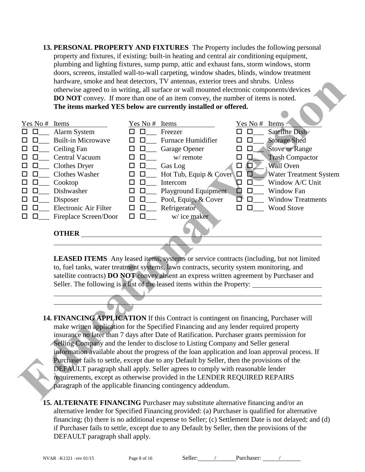**13. PERSONAL PROPERTY AND FIXTURES** The Property includes the following personal property and fixtures, if existing: built-in heating and central air conditioning equipment, plumbing and lighting fixtures, sump pump, attic and exhaust fans, storm windows, storm doors, screens, installed wall-to-wall carpeting, window shades, blinds, window treatment hardware, smoke and heat detectors, TV antennas, exterior trees and shrubs. Unless otherwise agreed to in writing, all surface or wall mounted electronic components/devices **DO NOT** convey. If more than one of an item convey, the number of items is noted. **The items marked YES below are currently installed or offered.** 

|                  |                                                                                                      |                  | hardware, smoke and heat detectors, TV antennas, exterior trees and shrubs. Unless             |             |                          |  |  |  |  |  |  |  |  |
|------------------|------------------------------------------------------------------------------------------------------|------------------|------------------------------------------------------------------------------------------------|-------------|--------------------------|--|--|--|--|--|--|--|--|
|                  |                                                                                                      |                  | otherwise agreed to in writing, all surface or wall mounted electronic components/devices      |             |                          |  |  |  |  |  |  |  |  |
|                  |                                                                                                      |                  | <b>DO NOT</b> convey. If more than one of an item convey, the number of items is noted.        |             |                          |  |  |  |  |  |  |  |  |
|                  |                                                                                                      |                  | The items marked YES below are currently installed or offered.                                 |             |                          |  |  |  |  |  |  |  |  |
|                  |                                                                                                      |                  |                                                                                                |             |                          |  |  |  |  |  |  |  |  |
| Yes No #         | Items                                                                                                | Yes No #         | Items                                                                                          | Yes No #    | Items                    |  |  |  |  |  |  |  |  |
| □                | Alarm System                                                                                         |                  | Freezer                                                                                        |             | Satellite Dish           |  |  |  |  |  |  |  |  |
|                  | <b>Built-in Microwave</b>                                                                            | ΙI               | <b>Furnace Humidifier</b>                                                                      |             | <b>Storage Shed</b>      |  |  |  |  |  |  |  |  |
| □                | Ceiling Fan                                                                                          | □                | Garage Opener                                                                                  | □<br>ப      | <b>Stove or Range</b>    |  |  |  |  |  |  |  |  |
| $\Box$           | <b>Central Vacuum</b>                                                                                | □<br>□           | w/ remote                                                                                      | □<br>$\Box$ | <b>Trash Compactor</b>   |  |  |  |  |  |  |  |  |
| □                | <b>Clothes Dryer</b>                                                                                 | $\Box$<br>$\Box$ | Gas Log                                                                                        | □<br>0      | Wall Oven                |  |  |  |  |  |  |  |  |
| □                | Clothes Washer                                                                                       | $\Box$<br>$\Box$ | Hot Tub, Equip & Cover                                                                         | ◘           | Water Treatment System   |  |  |  |  |  |  |  |  |
| □                | Cooktop                                                                                              | □<br>□           | Intercom                                                                                       | Д<br>$\Box$ | Window A/C Unit          |  |  |  |  |  |  |  |  |
| $\Box$           | Dishwasher                                                                                           | $\Box$<br>□      | Playground Equipment                                                                           | D<br>$\Box$ | Window Fan               |  |  |  |  |  |  |  |  |
| $\Box$<br>$\Box$ | Disposer                                                                                             | $\Box$<br>$\Box$ | Pool, Equip, & Cover                                                                           | O)<br>□     | <b>Window Treatments</b> |  |  |  |  |  |  |  |  |
| □                | Electronic Air Filter                                                                                | $\Box$<br>□      | Refrigerator                                                                                   | П<br>П      | <b>Wood Stove</b>        |  |  |  |  |  |  |  |  |
| $\Box$<br>П      | Fireplace Screen/Door                                                                                | □<br>□           | w/ice maker                                                                                    |             |                          |  |  |  |  |  |  |  |  |
|                  |                                                                                                      |                  |                                                                                                |             |                          |  |  |  |  |  |  |  |  |
|                  | <b>OTHER</b>                                                                                         |                  |                                                                                                |             |                          |  |  |  |  |  |  |  |  |
|                  |                                                                                                      |                  |                                                                                                |             |                          |  |  |  |  |  |  |  |  |
|                  |                                                                                                      |                  |                                                                                                |             |                          |  |  |  |  |  |  |  |  |
|                  |                                                                                                      |                  | LEASED ITEMS Any leased items, systems or service contracts (including, but not limited        |             |                          |  |  |  |  |  |  |  |  |
|                  |                                                                                                      |                  | to, fuel tanks, water treatment systems, lawn contracts, security system monitoring, and       |             |                          |  |  |  |  |  |  |  |  |
|                  | satellite contracts) DO NOT convey absent an express written agreement by Purchaser and              |                  |                                                                                                |             |                          |  |  |  |  |  |  |  |  |
|                  | Seller. The following is a list of the leased items within the Property: ___________________________ |                  |                                                                                                |             |                          |  |  |  |  |  |  |  |  |
|                  |                                                                                                      |                  |                                                                                                |             |                          |  |  |  |  |  |  |  |  |
|                  |                                                                                                      |                  |                                                                                                |             |                          |  |  |  |  |  |  |  |  |
|                  |                                                                                                      |                  |                                                                                                |             |                          |  |  |  |  |  |  |  |  |
|                  | 14. FINANCING APPLICATION If this Contract is contingent on financing, Purchaser will                |                  |                                                                                                |             |                          |  |  |  |  |  |  |  |  |
|                  |                                                                                                      |                  | make written application for the Specified Financing and any lender required property          |             |                          |  |  |  |  |  |  |  |  |
|                  | insurance no later than 7 days after Date of Ratification. Purchaser grants permission for           |                  |                                                                                                |             |                          |  |  |  |  |  |  |  |  |
|                  |                                                                                                      |                  | Selling Company and the lender to disclose to Listing Company and Seller general               |             |                          |  |  |  |  |  |  |  |  |
|                  |                                                                                                      |                  | information available about the progress of the loan application and loan approval process. If |             |                          |  |  |  |  |  |  |  |  |
|                  |                                                                                                      |                  | Purchaser fails to settle, except due to any Default by Seller, then the provisions of the     |             |                          |  |  |  |  |  |  |  |  |
|                  |                                                                                                      |                  | DEFAULT paragraph shall apply. Seller agrees to comply with reasonable lender                  |             |                          |  |  |  |  |  |  |  |  |
|                  |                                                                                                      |                  | requirements, except as otherwise provided in the LENDER REQUIRED REPAIRS                      |             |                          |  |  |  |  |  |  |  |  |
|                  |                                                                                                      |                  | paragraph of the applicable financing contingency addendum.                                    |             |                          |  |  |  |  |  |  |  |  |
|                  |                                                                                                      |                  |                                                                                                |             |                          |  |  |  |  |  |  |  |  |

- **14. FINANCING APPLICATION** If this Contract is contingent on financing, Purchaser will make written application for the Specified Financing and any lender required property insurance no later than 7 days after Date of Ratification. Purchaser grants permission for Selling Company and the lender to disclose to Listing Company and Seller general information available about the progress of the loan application and loan approval process. If Purchaser fails to settle, except due to any Default by Seller, then the provisions of the DEFAULT paragraph shall apply. Seller agrees to comply with reasonable lender requirements, except as otherwise provided in the LENDER REQUIRED REPAIRS paragraph of the applicable financing contingency addendum.
- **15. ALTERNATE FINANCING** Purchaser may substitute alternative financing and/or an alternative lender for Specified Financing provided: (a) Purchaser is qualified for alternative financing; (b) there is no additional expense to Seller; (c) Settlement Date is not delayed; and (d) if Purchaser fails to settle, except due to any Default by Seller, then the provisions of the DEFAULT paragraph shall apply.

NVAR-K1321 –rev 01/15 Page 8 of 16 Seller: / Purchaser: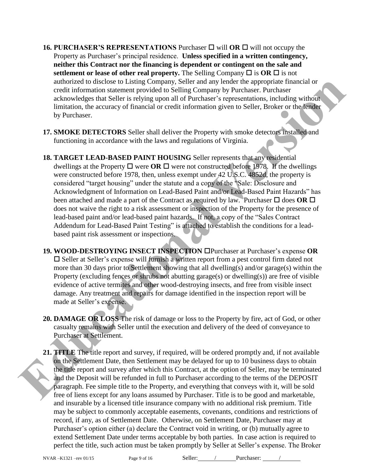- **16. PURCHASER'S REPRESENTATIONS** Purchaser  $\Box$  will **OR**  $\Box$  will not occupy the Property as Purchaser's principal residence. **Unless specified in a written contingency, neither this Contract nor the financing is dependent or contingent on the sale and settlement or lease of other real property.** The Selling Company  $\Box$  is  $\overline{OR} \Box$  is not authorized to disclose to Listing Company, Seller and any lender the appropriate financial or credit information statement provided to Selling Company by Purchaser. Purchaser acknowledges that Seller is relying upon all of Purchaser's representations, including without limitation, the accuracy of financial or credit information given to Seller, Broker or the lender by Purchaser.
- **17. SMOKE DETECTORS** Seller shall deliver the Property with smoke detectors installed and functioning in accordance with the laws and regulations of Virginia.
- **18. TARGET LEAD-BASED PAINT HOUSING** Seller represents that any residential dwellings at the Property  $\Box$  were **OR**  $\Box$  were not constructed before 1978. If the dwellings were constructed before 1978, then, unless exempt under 42 U.S.C. 4852d, the property is considered "target housing" under the statute and a copy of the "Sale: Disclosure and Acknowledgment of Information on Lead-Based Paint and/or Lead-Based Paint Hazards" has been attached and made a part of the Contract as required by law. Purchaser  $\Box$  does **OR**  $\Box$ does not waive the right to a risk assessment or inspection of the Property for the presence of lead-based paint and/or lead-based paint hazards. If not, a copy of the "Sales Contract Addendum for Lead-Based Paint Testing" is attached to establish the conditions for a leadbased paint risk assessment or inspections. and<br>noticed to disclose to Listing Company SPlate and any lender the appropriate frame<br>information statement provided in Selling Company by Burchaser. Purchaser<br>achievation, including with the same and of Purchaser's repre
	- **19. WOOD-DESTROYING INSECT INSPECTION** Purchaser at Purchaser's expense **OR**  $\square$  Seller at Seller's expense will furnish a written report from a pest control firm dated not more than 30 days prior to Settlement showing that all dwelling(s) and/or garage(s) within the Property (excluding fences or shrubs not abutting garage(s) or dwelling(s)) are free of visible evidence of active termites and other wood-destroying insects, and free from visible insect damage. Any treatment and repairs for damage identified in the inspection report will be made at Seller's expense.
	- **20. DAMAGE OR LOSS** The risk of damage or loss to the Property by fire, act of God, or other casualty remains with Seller until the execution and delivery of the deed of conveyance to Purchaser at Settlement.
	- **21. TITLE** The title report and survey, if required, will be ordered promptly and, if not available on the Settlement Date, then Settlement may be delayed for up to 10 business days to obtain the title report and survey after which this Contract, at the option of Seller, may be terminated and the Deposit will be refunded in full to Purchaser according to the terms of the DEPOSIT paragraph. Fee simple title to the Property, and everything that conveys with it, will be sold free of liens except for any loans assumed by Purchaser. Title is to be good and marketable, and insurable by a licensed title insurance company with no additional risk premium. Title may be subject to commonly acceptable easements, covenants, conditions and restrictions of record, if any, as of Settlement Date. Otherwise, on Settlement Date, Purchaser may at Purchaser's option either (a) declare the Contract void in writing, or (b) mutually agree to extend Settlement Date under terms acceptable by both parties. In case action is required to perfect the title, such action must be taken promptly by Seller at Seller's expense. The Broker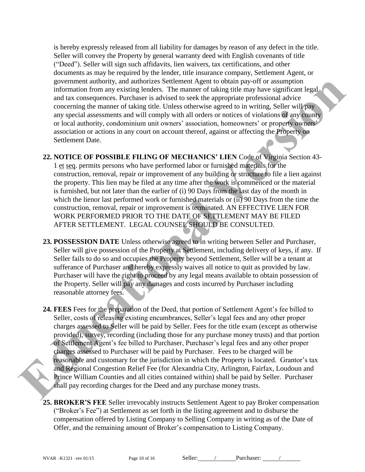is hereby expressly released from all liability for damages by reason of any defect in the title. Seller will convey the Property by general warranty deed with English covenants of title ("Deed"). Seller will sign such affidavits, lien waivers, tax certifications, and other documents as may be required by the lender, title insurance company, Settlement Agent, or government authority, and authorizes Settlement Agent to obtain pay-off or assumption information from any existing lenders. The manner of taking title may have significant legal and tax consequences. Purchaser is advised to seek the appropriate professional advice concerning the manner of taking title. Unless otherwise agreed to in writing, Seller will pay any special assessments and will comply with all orders or notices of violations of any county or local authority, condominium unit owners' association, homeowners' or property owners' association or actions in any court on account thereof, against or affecting the Property on Settlement Date.

**22. NOTICE OF POSSIBLE FILING OF MECHANICS' LIEN** Code of Virginia Section 43- 1 et seq. permits persons who have performed labor or furnished materials for the construction, removal, repair or improvement of any building or structure to file a lien against the property. This lien may be filed at any time after the work is commenced or the material is furnished, but not later than the earlier of (i) 90 Days from the last day of the month in which the lienor last performed work or furnished materials or (ii) 90 Days from the time the construction, removal, repair or improvement is terminated. AN EFFECTIVE LIEN FOR WORK PERFORMED PRIOR TO THE DATE OF SETTLEMENT MAY BE FILED AFTER SETTLEMENT. LEGAL COUNSEL SHOULD BE CONSULTED.

- **23. POSSESSION DATE** Unless otherwise agreed to in writing between Seller and Purchaser, Seller will give possession of the Property at Settlement, including delivery of keys, if any. If Seller fails to do so and occupies the Property beyond Settlement, Seller will be a tenant at sufferance of Purchaser and hereby expressly waives all notice to quit as provided by law. Purchaser will have the right to proceed by any legal means available to obtain possession of the Property. Seller will pay any damages and costs incurred by Purchaser including reasonable attorney fees.
- **24. FEES** Fees for the preparation of the Deed, that portion of Settlement Agent's fee billed to Seller, costs of releasing existing encumbrances, Seller's legal fees and any other proper charges assessed to Seller will be paid by Seller. Fees for the title exam (except as otherwise provided), survey, recording (including those for any purchase money trusts) and that portion of Settlement Agent's fee billed to Purchaser, Purchaser's legal fees and any other proper charges assessed to Purchaser will be paid by Purchaser. Fees to be charged will be reasonable and customary for the jurisdiction in which the Property is located. Grantor's tax and Regional Congestion Relief Fee (for Alexandria City, Arlington, Fairfax, Loudoun and Prince William Counties and all cities contained within) shall be paid by Seller. Purchaser shall pay recording charges for the Deed and any purchase money trusts. extendent mathemix, and and both since the best to coloning may consume the sample of the sample of the sample of the sample of the sample of the sample of the sample of the sample of the sample of the sample of the sample

**25. BROKER'S FEE** Seller irrevocably instructs Settlement Agent to pay Broker compensation ("Broker's Fee") at Settlement as set forth in the listing agreement and to disburse the compensation offered by Listing Company to Selling Company in writing as of the Date of Offer, and the remaining amount of Broker's compensation to Listing Company.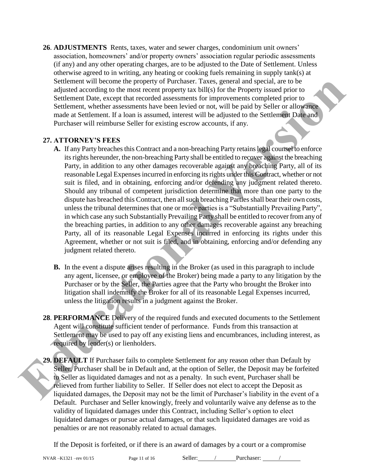**26**. **ADJUSTMENTS** Rents, taxes, water and sewer charges, condominium unit owners' association, homeowners' and/or property owners' association regular periodic assessments (if any) and any other operating charges, are to be adjusted to the Date of Settlement. Unless otherwise agreed to in writing, any heating or cooking fuels remaining in supply tank(s) at Settlement will become the property of Purchaser. Taxes, general and special, are to be adjusted according to the most recent property tax bill(s) for the Property issued prior to Settlement Date, except that recorded assessments for improvements completed prior to Settlement, whether assessments have been levied or not, will be paid by Seller or allowance made at Settlement. If a loan is assumed, interest will be adjusted to the Settlement Date and Purchaser will reimburse Seller for existing escrow accounts, if any.

#### **27. ATTORNEY'S FEES**

- **A.** If any Party breaches this Contract and a non-breaching Party retains legal counsel to enforce its rights hereunder, the non-breaching Party shall be entitled to recover against the breaching Party, in addition to any other damages recoverable against any breaching Party, all of its reasonable Legal Expenses incurred in enforcing its rights under this Contract, whether or not suit is filed, and in obtaining, enforcing and/or defending any judgment related thereto. Should any tribunal of competent jurisdiction determine that more than one party to the dispute has breached this Contract, then all such breaching Parties shall bear their own costs, unless the tribunal determines that one or more parties is a "Substantially Prevailing Party", in which case any such Substantially Prevailing Party shall be entitled to recover from any of the breaching parties, in addition to any other damages recoverable against any breaching Party, all of its reasonable Legal Expenses incurred in enforcing its rights under this Agreement, whether or not suit is filed, and in obtaining, enforcing and/or defending any judgment related thereto. Settlement will become the property of Purchase. Taxes, general and special, are to be<br>dialested according to the most recent property at Mil(s) for the Property issued prior to<br>Settlement, whether assessments have been le
	- **B.** In the event a dispute arises resulting in the Broker (as used in this paragraph to include any agent, licensee, or employee of the Broker) being made a party to any litigation by the Purchaser or by the Seller, the Parties agree that the Party who brought the Broker into litigation shall indemnify the Broker for all of its reasonable Legal Expenses incurred, unless the litigation results in a judgment against the Broker.
	- **28**. **PERFORMANCE** Delivery of the required funds and executed documents to the Settlement Agent will constitute sufficient tender of performance. Funds from this transaction at Settlement may be used to pay off any existing liens and encumbrances, including interest, as required by lender(s) or lienholders.
	- **29. DEFAULT** If Purchaser fails to complete Settlement for any reason other than Default by Seller, Purchaser shall be in Default and, at the option of Seller, the Deposit may be forfeited to Seller as liquidated damages and not as a penalty. In such event, Purchaser shall be relieved from further liability to Seller. If Seller does not elect to accept the Deposit as liquidated damages, the Deposit may not be the limit of Purchaser's liability in the event of a Default. Purchaser and Seller knowingly, freely and voluntarily waive any defense as to the validity of liquidated damages under this Contract, including Seller's option to elect liquidated damages or pursue actual damages, or that such liquidated damages are void as penalties or are not reasonably related to actual damages.

If the Deposit is forfeited, or if there is an award of damages by a court or a compromise

NVAR –K1321 –rev 01/15 Page 11 of 16 Seller: / Purchaser: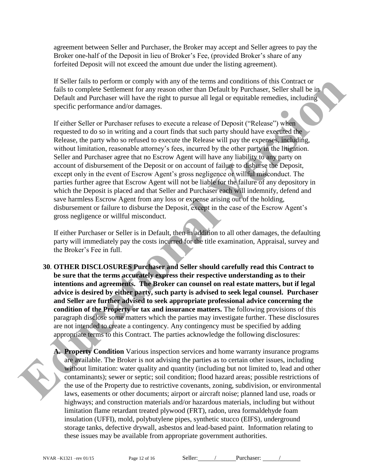agreement between Seller and Purchaser, the Broker may accept and Seller agrees to pay the Broker one-half of the Deposit in lieu of Broker's Fee, (provided Broker's share of any forfeited Deposit will not exceed the amount due under the listing agreement).

If Seller fails to perform or comply with any of the terms and conditions of this Contract or fails to complete Settlement for any reason other than Default by Purchaser, Seller shall be in Default and Purchaser will have the right to pursue all legal or equitable remedies, including specific performance and/or damages.

If either Seller or Purchaser refuses to execute a release of Deposit ("Release") when requested to do so in writing and a court finds that such party should have executed the Release, the party who so refused to execute the Release will pay the expenses, including, without limitation, reasonable attorney's fees, incurred by the other party in the litigation. Seller and Purchaser agree that no Escrow Agent will have any liability to any party on account of disbursement of the Deposit or on account of failure to disburse the Deposit, except only in the event of Escrow Agent's gross negligence or willful misconduct. The parties further agree that Escrow Agent will not be liable for the failure of any depository in which the Deposit is placed and that Seller and Purchaser each will indemnify, defend and save harmless Escrow Agent from any loss or expense arising out of the holding, disbursement or failure to disburse the Deposit, except in the case of the Escrow Agent's gross negligence or willful misconduct. If Sciencing to conform or comply with any of the curres and continuos of the Contract or<br>Fails to complete Settlement for any reason other than Default by Purchaser, Seller stall be in<br>Default and Purchaser will have the

If either Purchaser or Seller is in Default, then in addition to all other damages, the defaulting party will immediately pay the costs incurred for the title examination, Appraisal, survey and the Broker's Fee in full.

**30**. **OTHER DISCLOSURES Purchaser and Seller should carefully read this Contract to be sure that the terms accurately express their respective understanding as to their intentions and agreements. The Broker can counsel on real estate matters, but if legal advice is desired by either party, such party is advised to seek legal counsel. Purchaser and Seller are further advised to seek appropriate professional advice concerning the condition of the Property or tax and insurance matters.** The following provisions of this paragraph disclose some matters which the parties may investigate further. These disclosures are not intended to create a contingency. Any contingency must be specified by adding appropriate terms to this Contract. The parties acknowledge the following disclosures:



**A. Property Condition** Various inspection services and home warranty insurance programs are available. The Broker is not advising the parties as to certain other issues, including without limitation: water quality and quantity (including but not limited to, lead and other contaminants); sewer or septic; soil condition; flood hazard areas; possible restrictions of the use of the Property due to restrictive covenants, zoning, subdivision, or environmental laws, easements or other documents; airport or aircraft noise; planned land use, roads or highways; and construction materials and/or hazardous materials, including but without limitation flame retardant treated plywood (FRT), radon, urea formaldehyde foam insulation (UFFI), mold, polybutylene pipes, synthetic stucco (EIFS), underground storage tanks, defective drywall, asbestos and lead-based paint. Information relating to these issues may be available from appropriate government authorities.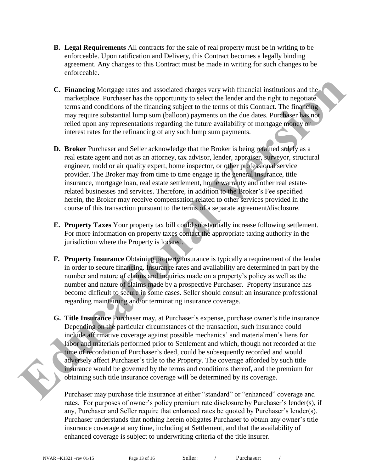- **B. Legal Requirements** All contracts for the sale of real property must be in writing to be enforceable. Upon ratification and Delivery, this Contract becomes a legally binding agreement. Any changes to this Contract must be made in writing for such changes to be enforceable.
- **C. Financing** Mortgage rates and associated charges vary with financial institutions and the marketplace. Purchaser has the opportunity to select the lender and the right to negotiate terms and conditions of the financing subject to the terms of this Contract. The financing may require substantial lump sum (balloon) payments on the due dates. Purchaser has not relied upon any representations regarding the future availability of mortgage money or interest rates for the refinancing of any such lump sum payments.
- **D. Broker** Purchaser and Seller acknowledge that the Broker is being retained solely as a real estate agent and not as an attorney, tax advisor, lender, appraiser, surveyor, structural engineer, mold or air quality expert, home inspector, or other professional service provider. The Broker may from time to time engage in the general insurance, title insurance, mortgage loan, real estate settlement, home warranty and other real estaterelated businesses and services. Therefore, in addition to the Broker's Fee specified herein, the Broker may receive compensation related to other services provided in the course of this transaction pursuant to the terms of a separate agreement/disclosure.
- **E. Property Taxes** Your property tax bill could substantially increase following settlement. For more information on property taxes contact the appropriate taxing authority in the jurisdiction where the Property is located.
- **F. Property Insurance** Obtaining property insurance is typically a requirement of the lender in order to secure financing. Insurance rates and availability are determined in part by the number and nature of claims and inquiries made on a property's policy as well as the number and nature of claims made by a prospective Purchaser. Property insurance has become difficult to secure in some cases. Seller should consult an insurance professional regarding maintaining and/or terminating insurance coverage.
- **G. Title Insurance** Purchaser may, at Purchaser's expense, purchase owner's title insurance. Depending on the particular circumstances of the transaction, such insurance could include affirmative coverage against possible mechanics' and materialmen's liens for labor and materials performed prior to Settlement and which, though not recorded at the time of recordation of Purchaser's deed, could be subsequently recorded and would adversely affect Purchaser's title to the Property. The coverage afforded by such title insurance would be governed by the terms and conditions thereof, and the premium for obtaining such title insurance coverage will be determined by its coverage. **C. Financing Mortgage rates and associated charges vary with financial institutions and the metricules. Purchase that the controllarity to select the lender and the right to hear the signal subset of the lender and the ri**

Purchaser may purchase title insurance at either "standard" or "enhanced" coverage and rates. For purposes of owner's policy premium rate disclosure by Purchaser's lender(s), if any, Purchaser and Seller require that enhanced rates be quoted by Purchaser's lender(s). Purchaser understands that nothing herein obligates Purchaser to obtain any owner's title insurance coverage at any time, including at Settlement, and that the availability of enhanced coverage is subject to underwriting criteria of the title insurer.

NVAR –K1321 –rev 01/15 Page 13 of 16 Seller: / Purchaser: /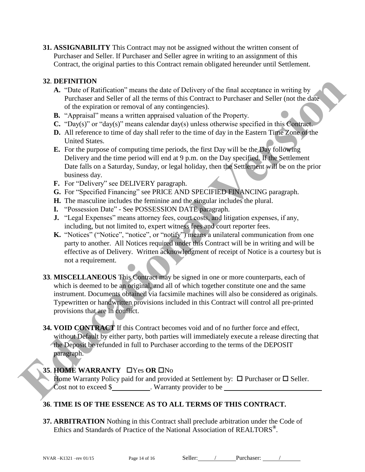**31. ASSIGNABILITY** This Contract may not be assigned without the written consent of Purchaser and Seller. If Purchaser and Seller agree in writing to an assignment of this Contract, the original parties to this Contract remain obligated hereunder until Settlement.

### **32**. **DEFINITION**

- **A.** "Date of Ratification" means the date of Delivery of the final acceptance in writing by Purchaser and Seller of all the terms of this Contract to Purchaser and Seller (not the date of the expiration or removal of any contingencies).
- **B.** "Appraisal" means a written appraised valuation of the Property.
- **C.** "Day(s)" or "day(s)" means calendar day(s) unless otherwise specified in this Contract.
- **D.** All reference to time of day shall refer to the time of day in the Eastern Time Zone of the United States.
- **E.** For the purpose of computing time periods, the first Day will be the Day following Delivery and the time period will end at 9 p.m. on the Day specified. If the Settlement Date falls on a Saturday, Sunday, or legal holiday, then the Settlement will be on the prior business day.
- **F.** For "Delivery" see DELIVERY paragraph.
- **G.** For "Specified Financing" see PRICE AND SPECIFIED FINANCING paragraph.
- **H.** The masculine includes the feminine and the singular includes the plural.
- **I.** "Possession Date" See POSSESSION DATE paragraph.
- **J.** "Legal Expenses" means attorney fees, court costs, and litigation expenses, if any, including, but not limited to, expert witness fees and court reporter fees.
- **K.** "Notices" ("Notice", "notice", or "notify") means a unilateral communication from one party to another. All Notices required under this Contract will be in writing and will be effective as of Delivery. Written acknowledgment of receipt of Notice is a courtesy but is not a requirement.
- **33**. **MISCELLANEOUS** This Contract may be signed in one or more counterparts, each of which is deemed to be an original, and all of which together constitute one and the same instrument. Documents obtained via facsimile machines will also be considered as originals. Typewritten or handwritten provisions included in this Contract will control all pre-printed provisions that are in conflict. **EDENTIFION SCRIPT (FIGURE 100** The final acceptance in writing by<br> **EVENTIFION TOWER CONSERVATION** The terms of this Contract to Parchaser and Seller (not the date<br>
of the expiration or removal of any contriguencies).<br>
	- **34. VOID CONTRACT** If this Contract becomes void and of no further force and effect, without Default by either party, both parties will immediately execute a release directing that the Deposit be refunded in full to Purchaser according to the terms of the DEPOSIT paragraph.

### **35. HOME WARRANTY UYes OR UNO**

Home Warranty Policy paid for and provided at Settlement by:  $\Box$  Purchaser or  $\Box$  Seller. Cost not to exceed \$ . Warranty provider to be

## **36**. **TIME IS OF THE ESSENCE AS TO ALL TERMS OF THIS CONTRACT.**

**37. ARBITRATION** Nothing in this Contract shall preclude arbitration under the Code of Ethics and Standards of Practice of the National Association of REALTORS**®** .

NVAR –K1321 –rev 01/15 Page 14 of 16 Seller: / Purchaser: /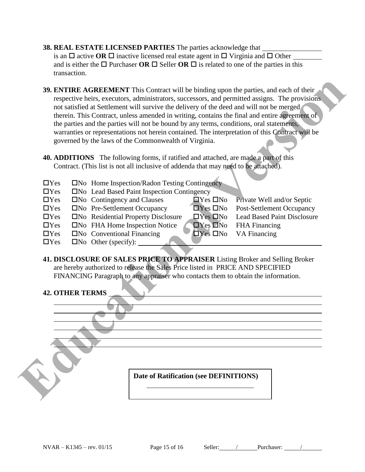- **38. REAL ESTATE LICENSED PARTIES** The parties acknowledge that is an  $\Box$  active **OR**  $\Box$  inactive licensed real estate agent in  $\Box$  Virginia and  $\Box$  Other and is either the  $\Box$  Purchaser **OR**  $\Box$  Seller **OR**  $\Box$  is related to one of the parties in this transaction.
- **39. ENTIRE AGREEMENT** This Contract will be binding upon the parties, and each of their respective heirs, executors, administrators, successors, and permitted assigns. The provisions not satisfied at Settlement will survive the delivery of the deed and will not be merged therein. This Contract, unless amended in writing, contains the final and entire agreement of the parties and the parties will not be bound by any terms, conditions, oral statements, warranties or representations not herein contained. The interpretation of this Contract will be governed by the laws of the Commonwealth of Virginia. **EDUCATION CONTROVER CONTROVER CONTROVER CONTROVER CONTROVER CONTROVER CONTROVER CONTROVER CONTROVER CONTROVER CONTROVER CONTROVER CONTROVER CONTROVER CONTROVER CONTROVER CONTROVER CONTROVER CONTROVER CONTROVER CONTROVER C** 
	- **40. ADDITIONS** The following forms, if ratified and attached, are made a part of this Contract. (This list is not all inclusive of addenda that may need to be attached).
	- $\Box$  Yes  $\Box$  No Home Inspection/Radon Testing Contingency
	- $\Box$  Yes  $\Box$  No Lead Based Paint Inspection Contingency
	- $\Box$  Yes  $\Box$  No Contingency and Clauses  $\Box$  Yes  $\Box$  No Private Well and/or Septic
	- $\Box$ Yes  $\Box$ No Pre-Settlement Occupancy  $\Box$ Yes  $\Box$ No Post-Settlement Occupancy
	- $\Box$  Yes  $\Box$  No Residential Property Disclosure  $\Box$  Yes  $\Box$  No Lead Based Paint Disclosure
	- $\Box$ Yes  $\Box$ No FHA Home Inspection Notice  $\Box$ Yes  $\Box$ No FHA Financing
	- $\Box$  Yes  $\Box$  No Conventional Financing  $\Box$  Yes  $\Box$  No VA Financing
	- $\Box$ Yes  $\Box$ No Other (specify):  $\Box$
	- **41. DISCLOSURE OF SALES PRICE TO APPRAISER** Listing Broker and Selling Broker are hereby authorized to release the Sales Price listed in PRICE AND SPECIFIED FINANCING Paragraph to any appraiser who contacts them to obtain the information.

### **42. OTHER TERMS**

 $\overline{a}$ 

**Date of Ratification (see DEFINITIONS)**